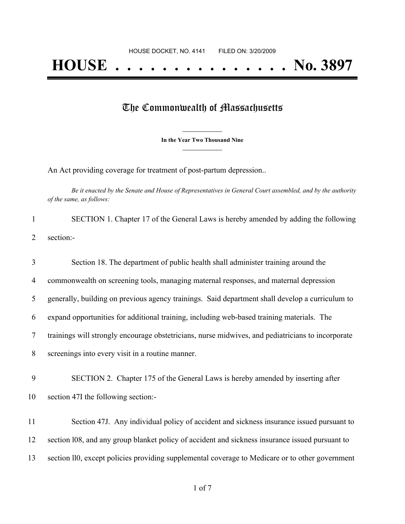## The Commonwealth of Massachusetts

**\_\_\_\_\_\_\_\_\_\_\_\_\_\_\_ In the Year Two Thousand Nine \_\_\_\_\_\_\_\_\_\_\_\_\_\_\_**

An Act providing coverage for treatment of post-partum depression..

Be it enacted by the Senate and House of Representatives in General Court assembled, and by the authority *of the same, as follows:*

| SECTION 1. Chapter 17 of the General Laws is hereby amended by adding the following |
|-------------------------------------------------------------------------------------|
| 2 section:-                                                                         |

| 3              | Section 18. The department of public health shall administer training around the                  |
|----------------|---------------------------------------------------------------------------------------------------|
| $\overline{4}$ | commonwealth on screening tools, managing maternal responses, and maternal depression             |
| 5              | generally, building on previous agency trainings. Said department shall develop a curriculum to   |
| 6              | expand opportunities for additional training, including web-based training materials. The         |
| 7              | trainings will strongly encourage obstetricians, nurse midwives, and pediatricians to incorporate |
| 8              | screenings into every visit in a routine manner.                                                  |
| 9              | SECTION 2. Chapter 175 of the General Laws is hereby amended by inserting after                   |
| 10             | section 47I the following section:-                                                               |
|                |                                                                                                   |
|                |                                                                                                   |

 Section 47J. Any individual policy of accident and sickness insurance issued pursuant to section l08, and any group blanket policy of accident and sickness insurance issued pursuant to section ll0, except policies providing supplemental coverage to Medicare or to other government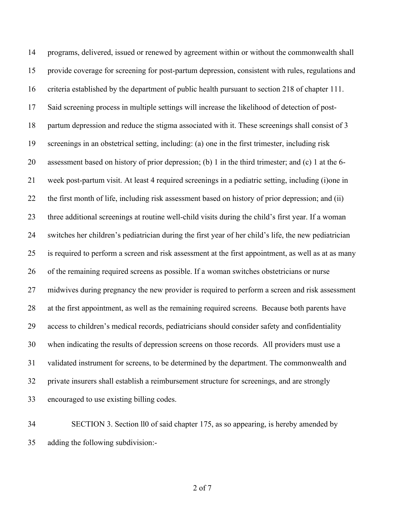programs, delivered, issued or renewed by agreement within or without the commonwealth shall provide coverage for screening for post-partum depression, consistent with rules, regulations and criteria established by the department of public health pursuant to section 218 of chapter 111. Said screening process in multiple settings will increase the likelihood of detection of post-18 partum depression and reduce the stigma associated with it. These screenings shall consist of 3 screenings in an obstetrical setting, including: (a) one in the first trimester, including risk assessment based on history of prior depression; (b) 1 in the third trimester; and (c) 1 at the 6- week post-partum visit. At least 4 required screenings in a pediatric setting, including (i)one in the first month of life, including risk assessment based on history of prior depression; and (ii) three additional screenings at routine well-child visits during the child's first year. If a woman switches her children's pediatrician during the first year of her child's life, the new pediatrician is required to perform a screen and risk assessment at the first appointment, as well as at as many of the remaining required screens as possible. If a woman switches obstetricians or nurse midwives during pregnancy the new provider is required to perform a screen and risk assessment at the first appointment, as well as the remaining required screens. Because both parents have access to children's medical records, pediatricians should consider safety and confidentiality when indicating the results of depression screens on those records. All providers must use a validated instrument for screens, to be determined by the department. The commonwealth and private insurers shall establish a reimbursement structure for screenings, and are strongly encouraged to use existing billing codes.

 SECTION 3. Section ll0 of said chapter 175, as so appearing, is hereby amended by adding the following subdivision:-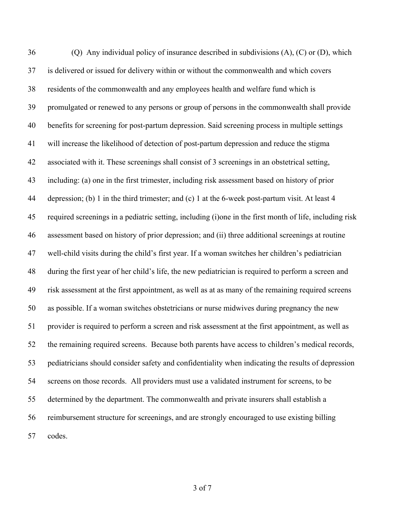36 (Q) Any individual policy of insurance described in subdivisions  $(A)$ ,  $(C)$  or  $(D)$ , which is delivered or issued for delivery within or without the commonwealth and which covers residents of the commonwealth and any employees health and welfare fund which is promulgated or renewed to any persons or group of persons in the commonwealth shall provide benefits for screening for post-partum depression. Said screening process in multiple settings will increase the likelihood of detection of post-partum depression and reduce the stigma associated with it. These screenings shall consist of 3 screenings in an obstetrical setting, including: (a) one in the first trimester, including risk assessment based on history of prior depression; (b) 1 in the third trimester; and (c) 1 at the 6-week post-partum visit. At least 4 required screenings in a pediatric setting, including (i)one in the first month of life, including risk assessment based on history of prior depression; and (ii) three additional screenings at routine well-child visits during the child's first year. If a woman switches her children's pediatrician during the first year of her child's life, the new pediatrician is required to perform a screen and risk assessment at the first appointment, as well as at as many of the remaining required screens as possible. If a woman switches obstetricians or nurse midwives during pregnancy the new provider is required to perform a screen and risk assessment at the first appointment, as well as the remaining required screens. Because both parents have access to children's medical records, pediatricians should consider safety and confidentiality when indicating the results of depression screens on those records. All providers must use a validated instrument for screens, to be determined by the department. The commonwealth and private insurers shall establish a reimbursement structure for screenings, and are strongly encouraged to use existing billing codes.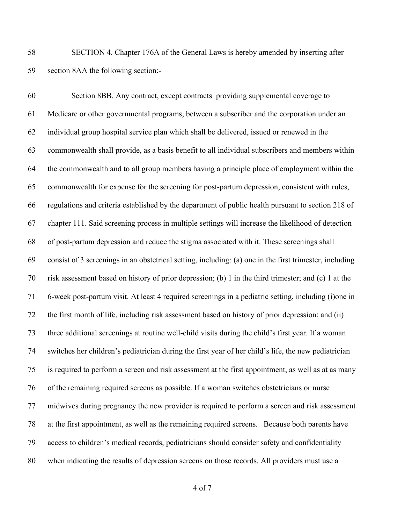SECTION 4. Chapter 176A of the General Laws is hereby amended by inserting after section 8AA the following section:-

 Section 8BB. Any contract, except contracts providing supplemental coverage to Medicare or other governmental programs, between a subscriber and the corporation under an individual group hospital service plan which shall be delivered, issued or renewed in the commonwealth shall provide, as a basis benefit to all individual subscribers and members within the commonwealth and to all group members having a principle place of employment within the commonwealth for expense for the screening for post-partum depression, consistent with rules, regulations and criteria established by the department of public health pursuant to section 218 of chapter 111. Said screening process in multiple settings will increase the likelihood of detection of post-partum depression and reduce the stigma associated with it. These screenings shall consist of 3 screenings in an obstetrical setting, including: (a) one in the first trimester, including risk assessment based on history of prior depression; (b) 1 in the third trimester; and (c) 1 at the 6-week post-partum visit. At least 4 required screenings in a pediatric setting, including (i)one in the first month of life, including risk assessment based on history of prior depression; and (ii) three additional screenings at routine well-child visits during the child's first year. If a woman switches her children's pediatrician during the first year of her child's life, the new pediatrician is required to perform a screen and risk assessment at the first appointment, as well as at as many of the remaining required screens as possible. If a woman switches obstetricians or nurse midwives during pregnancy the new provider is required to perform a screen and risk assessment at the first appointment, as well as the remaining required screens. Because both parents have access to children's medical records, pediatricians should consider safety and confidentiality when indicating the results of depression screens on those records. All providers must use a

of 7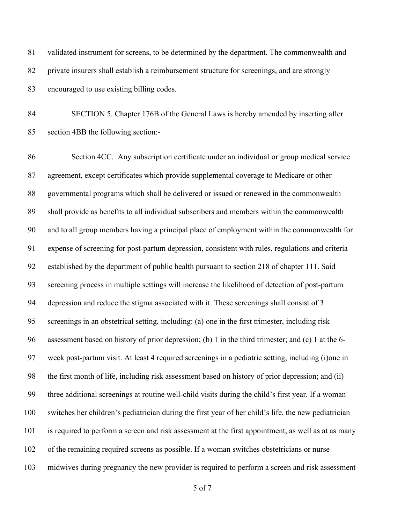validated instrument for screens, to be determined by the department. The commonwealth and private insurers shall establish a reimbursement structure for screenings, and are strongly encouraged to use existing billing codes.

 SECTION 5. Chapter 176B of the General Laws is hereby amended by inserting after section 4BB the following section:-

 Section 4CC. Any subscription certificate under an individual or group medical service agreement, except certificates which provide supplemental coverage to Medicare or other governmental programs which shall be delivered or issued or renewed in the commonwealth shall provide as benefits to all individual subscribers and members within the commonwealth and to all group members having a principal place of employment within the commonwealth for expense of screening for post-partum depression, consistent with rules, regulations and criteria established by the department of public health pursuant to section 218 of chapter 111. Said screening process in multiple settings will increase the likelihood of detection of post-partum depression and reduce the stigma associated with it. These screenings shall consist of 3 screenings in an obstetrical setting, including: (a) one in the first trimester, including risk assessment based on history of prior depression; (b) 1 in the third trimester; and (c) 1 at the 6- week post-partum visit. At least 4 required screenings in a pediatric setting, including (i)one in the first month of life, including risk assessment based on history of prior depression; and (ii) three additional screenings at routine well-child visits during the child's first year. If a woman switches her children's pediatrician during the first year of her child's life, the new pediatrician is required to perform a screen and risk assessment at the first appointment, as well as at as many of the remaining required screens as possible. If a woman switches obstetricians or nurse midwives during pregnancy the new provider is required to perform a screen and risk assessment

of 7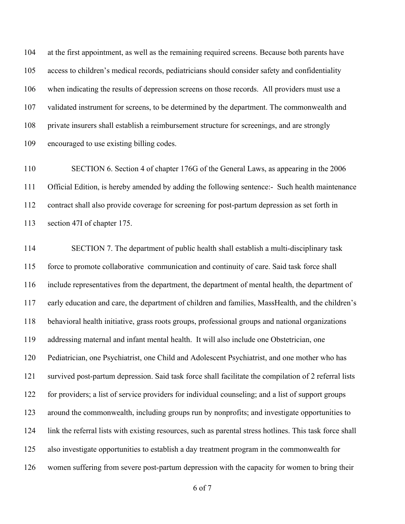at the first appointment, as well as the remaining required screens. Because both parents have access to children's medical records, pediatricians should consider safety and confidentiality when indicating the results of depression screens on those records. All providers must use a validated instrument for screens, to be determined by the department. The commonwealth and private insurers shall establish a reimbursement structure for screenings, and are strongly encouraged to use existing billing codes.

 SECTION 6. Section 4 of chapter 176G of the General Laws, as appearing in the 2006 Official Edition, is hereby amended by adding the following sentence:- Such health maintenance contract shall also provide coverage for screening for post-partum depression as set forth in section 47I of chapter 175.

 SECTION 7. The department of public health shall establish a multi-disciplinary task force to promote collaborative communication and continuity of care. Said task force shall include representatives from the department, the department of mental health, the department of early education and care, the department of children and families, MassHealth, and the children's behavioral health initiative, grass roots groups, professional groups and national organizations addressing maternal and infant mental health. It will also include one Obstetrician, one Pediatrician, one Psychiatrist, one Child and Adolescent Psychiatrist, and one mother who has survived post-partum depression. Said task force shall facilitate the compilation of 2 referral lists for providers; a list of service providers for individual counseling; and a list of support groups around the commonwealth, including groups run by nonprofits; and investigate opportunities to link the referral lists with existing resources, such as parental stress hotlines. This task force shall also investigate opportunities to establish a day treatment program in the commonwealth for women suffering from severe post-partum depression with the capacity for women to bring their

of 7